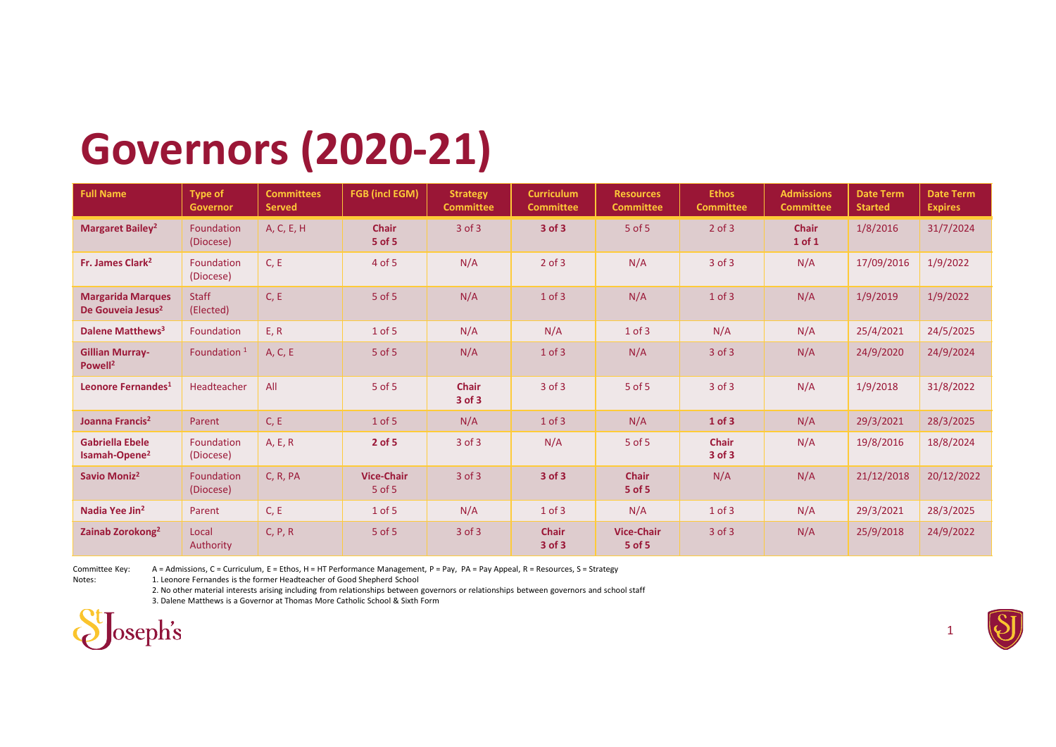## Governors (2020-21)

|                                                           |                           |                   | <b>Governors (2020-21)</b>    |                        |                   |                                 |                  |                            |                     |                  |
|-----------------------------------------------------------|---------------------------|-------------------|-------------------------------|------------------------|-------------------|---------------------------------|------------------|----------------------------|---------------------|------------------|
| <b>Full Name</b>                                          | <b>Type of</b>            | <b>Committees</b> | <b>FGB</b> (incl EGM)         | <b>Strategy</b>        | <b>Curriculum</b> | <b>Resources</b>                | <b>Ethos</b>     | <b>Admissions</b>          | <b>Date Term</b>    | <b>Date Term</b> |
|                                                           | Governor                  | <b>Served</b>     |                               | <b>Committee</b>       | <b>Committee</b>  | <b>Committee</b>                | <b>Committee</b> | <b>Committee</b>           | <b>Started</b>      | <b>Expires</b>   |
| <b>Margaret Bailey<sup>2</sup></b>                        | Foundation<br>(Diocese)   | A, C, E, H        | <b>Chair</b><br>5 of 5        | $3$ of $3$             | 3 of 3            | $5$ of $5$                      | $2$ of $3$       | <b>Chair</b><br>$1$ of $1$ | 1/8/2016            | 31/7/2024        |
| Fr. James Clark <sup>2</sup>                              | Foundation<br>(Diocese)   | C, E              | 4 of 5                        | N/A                    | $2$ of $3$        | N/A                             | $3$ of $3$       | N/A                        | 17/09/2016          | 1/9/2022         |
| <b>Margarida Marques</b><br>De Gouveia Jesus <sup>2</sup> | <b>Staff</b><br>(Elected) | C, E              | 5 of 5                        | N/A                    | $1$ of $3$        | N/A                             | $1$ of $3$       | N/A                        | 1/9/2019            | 1/9/2022         |
| Dalene Matthews <sup>3</sup>                              | Foundation                | E, R              | 1 of 5                        | N/A                    | N/A               | $1$ of $3$                      | N/A              | N/A                        | 25/4/2021           | 24/5/2025        |
| <b>Gillian Murray-</b><br>Powell <sup>2</sup>             | Foundation <sup>1</sup>   | A, C, E           | 5 of 5                        | N/A                    | $1$ of $3$        | N/A                             | $3$ of $3$       | N/A                        | 24/9/2020           | 24/9/2024        |
| Leonore Fernandes <sup>1</sup>                            | Headteacher               | All               | $5$ of $5$                    | <b>Chair</b><br>3 of 3 | $3$ of $3$        | $5$ of $5$                      | $3$ of $3$       | N/A                        | 1/9/2018            | 31/8/2022        |
| Joanna Francis <sup>2</sup>                               | Parent                    | C, E              | $1$ of $5$                    | N/A                    | $1$ of $3$        | N/A                             | 1 of 3           | N/A                        | 29/3/2021           | 28/3/2025        |
| <b>Gabriella Ebele</b><br>Isamah-Opene <sup>2</sup>       | Foundation<br>(Diocese)   | A, E, R           | $2$ of 5                      | 3 of 3                 | N/A               | 5 of 5                          | Chair<br>3 of 3  | N/A                        | 19/8/2016 18/8/2024 |                  |
| Savio Moniz <sup>2</sup>                                  | Foundation<br>(Diocese)   | C, R, PA          | <b>Vice-Chair</b><br>$5$ of 5 | $3$ of $3$             | 3 of 3            | <b>Chair</b><br>5 of 5          | N/A              | N/A                        | 21/12/2018          | 20/12/2022       |
| Nadia Yee Jin <sup>2</sup>                                | Parent                    | C, E              | $1$ of 5                      | N/A                    | $1$ of $3$        | N/A                             | $1$ of $3$       | N/A                        | 29/3/2021           | 28/3/2025        |
| Zainab Zorokong <sup>2</sup>                              | Local<br>Authority        | C, P, R           | 5 of 5                        | $3$ of $3$             | Chair<br>3 of 3   | <b>Vice-Chair</b><br>$5$ of $5$ | $3$ of $3$       | N/A                        | 25/9/2018           | 24/9/2022        |